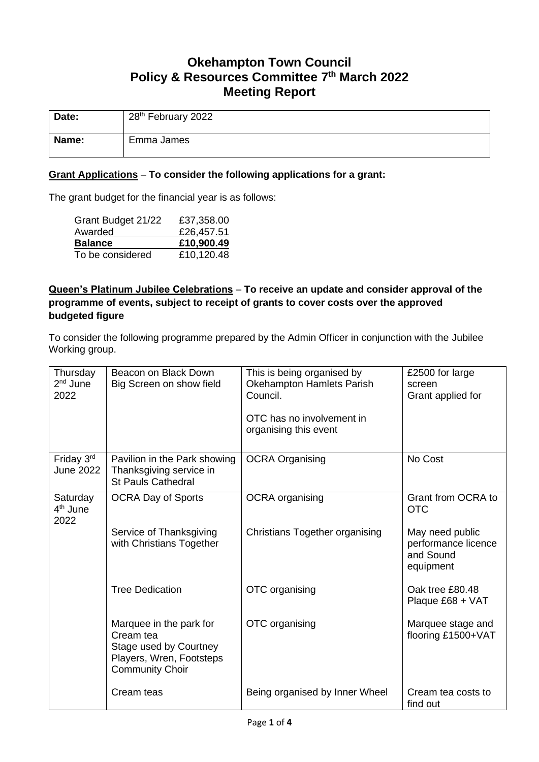# **Okehampton Town Council Policy & Resources Committee 7 th March 2022 Meeting Report**

| Date: | 28 <sup>th</sup> February 2022 |
|-------|--------------------------------|
| Name: | Emma James                     |

### **Grant Applications** – **To consider the following applications for a grant:**

The grant budget for the financial year is as follows:

| Grant Budget 21/22 | £37,358.00 |
|--------------------|------------|
| Awarded            | £26,457.51 |
|                    |            |
| <b>Balance</b>     | £10,900.49 |

## **Queen's Platinum Jubilee Celebrations** – **To receive an update and consider approval of the programme of events, subject to receipt of grants to cover costs over the approved budgeted figure**

To consider the following programme prepared by the Admin Officer in conjunction with the Jubilee Working group.

| Thursday<br>2 <sup>nd</sup> June<br>2022 | Beacon on Black Down<br>Big Screen on show field                                                                     | This is being organised by<br>Okehampton Hamlets Parish<br>Council.<br>OTC has no involvement in<br>organising this event | £2500 for large<br>screen<br>Grant applied for                   |
|------------------------------------------|----------------------------------------------------------------------------------------------------------------------|---------------------------------------------------------------------------------------------------------------------------|------------------------------------------------------------------|
| Friday 3rd<br><b>June 2022</b>           | Pavilion in the Park showing<br>Thanksgiving service in<br><b>St Pauls Cathedral</b>                                 | <b>OCRA Organising</b>                                                                                                    | No Cost                                                          |
| Saturday<br>4 <sup>th</sup> June<br>2022 | <b>OCRA Day of Sports</b>                                                                                            | <b>OCRA</b> organising                                                                                                    | Grant from OCRA to<br><b>OTC</b>                                 |
|                                          | Service of Thanksgiving<br>with Christians Together                                                                  | <b>Christians Together organising</b>                                                                                     | May need public<br>performance licence<br>and Sound<br>equipment |
|                                          | <b>Tree Dedication</b>                                                                                               | OTC organising                                                                                                            | Oak tree £80.48<br>Plaque £68 + VAT                              |
|                                          | Marquee in the park for<br>Cream tea<br>Stage used by Courtney<br>Players, Wren, Footsteps<br><b>Community Choir</b> | OTC organising                                                                                                            | Marquee stage and<br>flooring £1500+VAT                          |
|                                          | Cream teas                                                                                                           | Being organised by Inner Wheel                                                                                            | Cream tea costs to<br>find out                                   |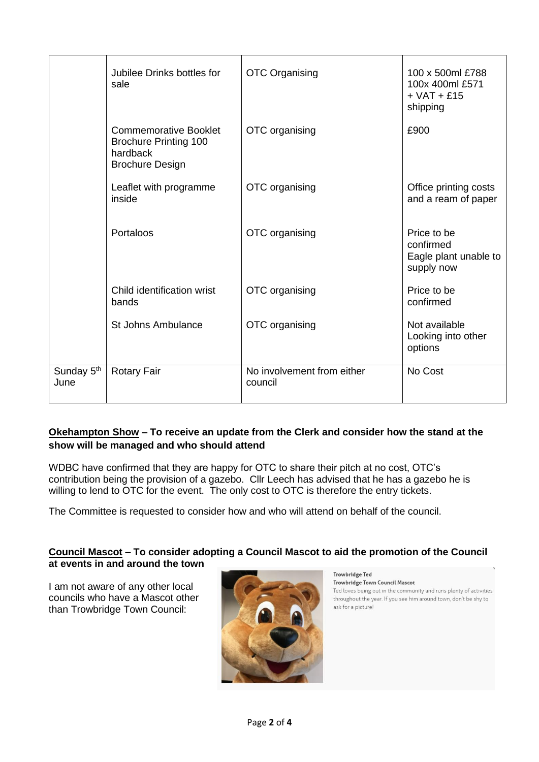|                                | Jubilee Drinks bottles for<br>sale                                                                 | <b>OTC Organising</b>                 | 100 x 500ml £788<br>100x 400ml £571<br>$+$ VAT $+$ £15<br>shipping |
|--------------------------------|----------------------------------------------------------------------------------------------------|---------------------------------------|--------------------------------------------------------------------|
|                                | <b>Commemorative Booklet</b><br><b>Brochure Printing 100</b><br>hardback<br><b>Brochure Design</b> | OTC organising                        | £900                                                               |
|                                | Leaflet with programme<br>inside                                                                   | OTC organising                        | Office printing costs<br>and a ream of paper                       |
|                                | Portaloos                                                                                          | OTC organising                        | Price to be<br>confirmed<br>Eagle plant unable to<br>supply now    |
|                                | Child identification wrist<br>bands                                                                | OTC organising                        | Price to be<br>confirmed                                           |
|                                | <b>St Johns Ambulance</b>                                                                          | OTC organising                        | Not available<br>Looking into other<br>options                     |
| Sunday 5 <sup>th</sup><br>June | <b>Rotary Fair</b>                                                                                 | No involvement from either<br>council | No Cost                                                            |

# **Okehampton Show – To receive an update from the Clerk and consider how the stand at the show will be managed and who should attend**

WDBC have confirmed that they are happy for OTC to share their pitch at no cost, OTC's contribution being the provision of a gazebo. Cllr Leech has advised that he has a gazebo he is willing to lend to OTC for the event. The only cost to OTC is therefore the entry tickets.

The Committee is requested to consider how and who will attend on behalf of the council.

### **Council Mascot – To consider adopting a Council Mascot to aid the promotion of the Council at events in and around the town**

I am not aware of any other local councils who have a Mascot other than Trowbridge Town Council:



**Trowbridge Ted** Trowbridge Town Council Mascot Ted loves being out in the community and runs plenty of activities throughout the year. If you see him around town, don't be shy to ask for a picture!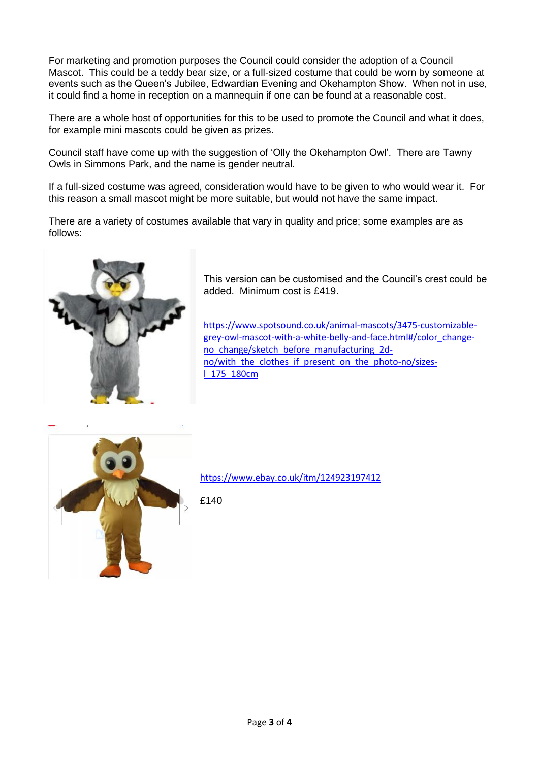For marketing and promotion purposes the Council could consider the adoption of a Council Mascot. This could be a teddy bear size, or a full-sized costume that could be worn by someone at events such as the Queen's Jubilee, Edwardian Evening and Okehampton Show. When not in use, it could find a home in reception on a mannequin if one can be found at a reasonable cost.

There are a whole host of opportunities for this to be used to promote the Council and what it does, for example mini mascots could be given as prizes.

Council staff have come up with the suggestion of 'Olly the Okehampton Owl'. There are Tawny Owls in Simmons Park, and the name is gender neutral.

If a full-sized costume was agreed, consideration would have to be given to who would wear it. For this reason a small mascot might be more suitable, but would not have the same impact.

There are a variety of costumes available that vary in quality and price; some examples are as follows:



This version can be customised and the Council's crest could be added. Minimum cost is £419.

[https://www.spotsound.co.uk/animal-mascots/3475-customizable](https://www.spotsound.co.uk/animal-mascots/3475-customizable-grey-owl-mascot-with-a-white-belly-and-face.html#/color_change-no_change/sketch_before_manufacturing_2d-no/with_the_clothes_if_present_on_the_photo-no/sizes-l_175_180cm)[grey-owl-mascot-with-a-white-belly-and-face.html#/color\\_change](https://www.spotsound.co.uk/animal-mascots/3475-customizable-grey-owl-mascot-with-a-white-belly-and-face.html#/color_change-no_change/sketch_before_manufacturing_2d-no/with_the_clothes_if_present_on_the_photo-no/sizes-l_175_180cm)[no\\_change/sketch\\_before\\_manufacturing\\_2d](https://www.spotsound.co.uk/animal-mascots/3475-customizable-grey-owl-mascot-with-a-white-belly-and-face.html#/color_change-no_change/sketch_before_manufacturing_2d-no/with_the_clothes_if_present_on_the_photo-no/sizes-l_175_180cm)no/with the clothes if present on the photo-no/sizes[l\\_175\\_180cm](https://www.spotsound.co.uk/animal-mascots/3475-customizable-grey-owl-mascot-with-a-white-belly-and-face.html#/color_change-no_change/sketch_before_manufacturing_2d-no/with_the_clothes_if_present_on_the_photo-no/sizes-l_175_180cm)



<https://www.ebay.co.uk/itm/124923197412>

£140